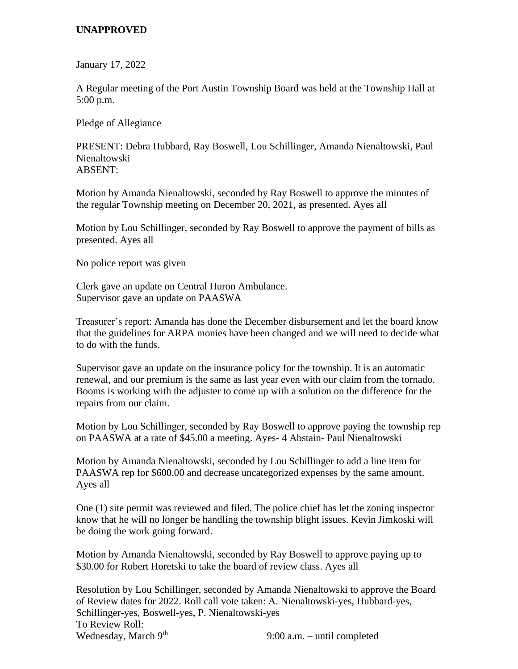## **UNAPPROVED**

January 17, 2022

A Regular meeting of the Port Austin Township Board was held at the Township Hall at 5:00 p.m.

Pledge of Allegiance

PRESENT: Debra Hubbard, Ray Boswell, Lou Schillinger, Amanda Nienaltowski, Paul Nienaltowski ABSENT:

Motion by Amanda Nienaltowski, seconded by Ray Boswell to approve the minutes of the regular Township meeting on December 20, 2021, as presented. Ayes all

Motion by Lou Schillinger, seconded by Ray Boswell to approve the payment of bills as presented. Ayes all

No police report was given

Clerk gave an update on Central Huron Ambulance. Supervisor gave an update on PAASWA

Treasurer's report: Amanda has done the December disbursement and let the board know that the guidelines for ARPA monies have been changed and we will need to decide what to do with the funds.

Supervisor gave an update on the insurance policy for the township. It is an automatic renewal, and our premium is the same as last year even with our claim from the tornado. Booms is working with the adjuster to come up with a solution on the difference for the repairs from our claim.

Motion by Lou Schillinger, seconded by Ray Boswell to approve paying the township rep on PAASWA at a rate of \$45.00 a meeting. Ayes- 4 Abstain- Paul Nienaltowski

Motion by Amanda Nienaltowski, seconded by Lou Schillinger to add a line item for PAASWA rep for \$600.00 and decrease uncategorized expenses by the same amount. Ayes all

One (1) site permit was reviewed and filed. The police chief has let the zoning inspector know that he will no longer be handling the township blight issues. Kevin Jimkoski will be doing the work going forward.

Motion by Amanda Nienaltowski, seconded by Ray Boswell to approve paying up to \$30.00 for Robert Horetski to take the board of review class. Ayes all

Resolution by Lou Schillinger, seconded by Amanda Nienaltowski to approve the Board of Review dates for 2022. Roll call vote taken: A. Nienaltowski-yes, Hubbard-yes, Schillinger-yes, Boswell-yes, P. Nienaltowski-yes To Review Roll: Wednesday, March 9<sup>th</sup> 9:00 a.m. – until completed